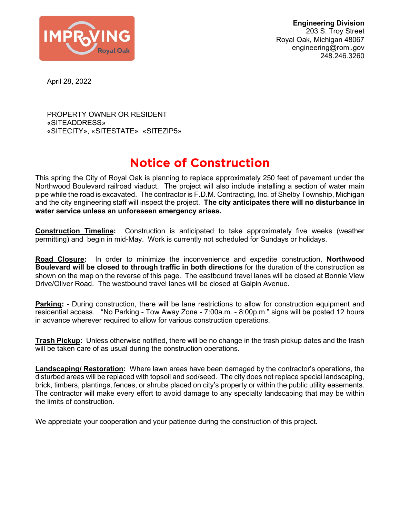

**Engineering Division** 203 S. Troy Street Royal Oak, Michigan 48067 engineering@romi.gov 248.246.3260

April 28, 2022

PROPERTY OWNER OR RESIDENT «SITEADDRESS» «SITECITY», «SITESTATE» «SITEZIP5»

## Notice of Construction

This spring the City of Royal Oak is planning to replace approximately 250 feet of pavement under the Northwood Boulevard railroad viaduct. The project will also include installing a section of water main pipe while the road is excavated. The contractor is F.D.M. Contracting, Inc. of Shelby Township, Michigan and the city engineering staff will inspect the project. **The city anticipates there will no disturbance in water service unless an unforeseen emergency arises.**

**Construction Timeline:** Construction is anticipated to take approximately five weeks (weather permitting) and begin in mid-May. Work is currently not scheduled for Sundays or holidays.

**Road Closure:** In order to minimize the inconvenience and expedite construction, **Northwood Boulevard will be closed to through traffic in both directions** for the duration of the construction as shown on the map on the reverse of this page. The eastbound travel lanes will be closed at Bonnie View Drive/Oliver Road. The westbound travel lanes will be closed at Galpin Avenue.

**Parking:** - During construction, there will be lane restrictions to allow for construction equipment and residential access. "No Parking - Tow Away Zone - 7:00a.m. - 8:00p.m." signs will be posted 12 hours in advance wherever required to allow for various construction operations.

**Trash Pickup:** Unless otherwise notified, there will be no change in the trash pickup dates and the trash will be taken care of as usual during the construction operations.

**Landscaping/ Restoration:** Where lawn areas have been damaged by the contractor's operations, the disturbed areas will be replaced with topsoil and sod/seed. The city does not replace special landscaping, brick, timbers, plantings, fences, or shrubs placed on city's property or within the public utility easements. The contractor will make every effort to avoid damage to any specialty landscaping that may be within the limits of construction.

We appreciate your cooperation and your patience during the construction of this project.